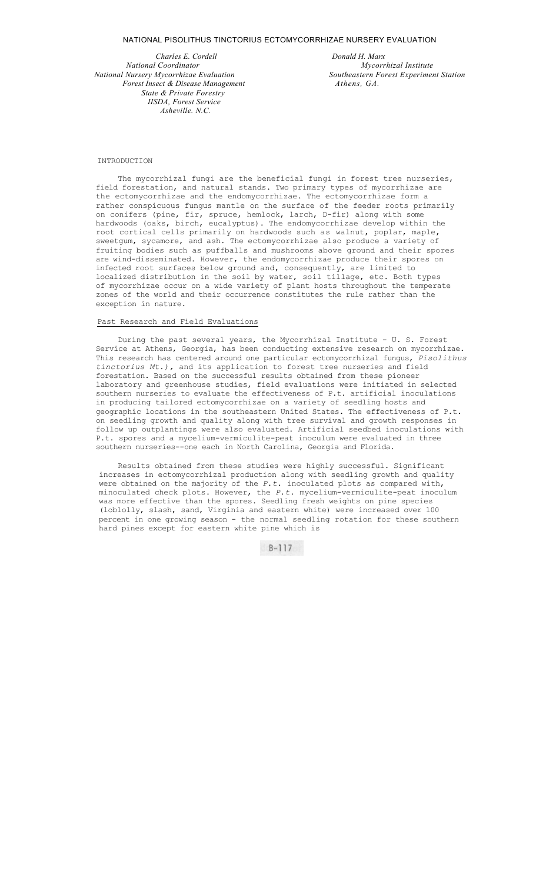#### NATIONAL PISOLITHUS TINCTORIUS ECTOMYCORRHIZAE NURSERY EVALUATION

*Charles E. Cordell Donald H. Marx National Coordinator Mycorrhizal Institute Forest Insect & Disease Management Athens, GA. State & Private Forestry IISDA, Forest Service Asheville. N.C.*

*National Nursery Mycorrhizae Evaluation Southeastern Forest Experiment Station* 

### INTRODUCTION

The mycorrhizal fungi are the beneficial fungi in forest tree nurseries, field forestation, and natural stands. Two primary types of mycorrhizae are the ectomycorrhizae and the endomycorrhizae. The ectomycorrhizae form a rather conspicuous fungus mantle on the surface of the feeder roots primarily on conifers (pine, fir, spruce, hemlock, larch, D-fir) along with some hardwoods (oaks, birch, eucalyptus). The endomycorrhizae develop within the root cortical cells primarily on hardwoods such as walnut, poplar, maple, sweetgum, sycamore, and ash. The ectomycorrhizae also produce a variety of fruiting bodies such as puffballs and mushrooms above ground and their spores are wind-disseminated. However, the endomycorrhizae produce their spores on infected root surfaces below ground and, consequently, are limited to localized distribution in the soil by water, soil tillage, etc. Both types of mycorrhizae occur on a wide variety of plant hosts throughout the temperate zones of the world and their occurrence constitutes the rule rather than the exception in nature.

## Past Research and Field Evaluations

During the past several years, the Mycorrhizal Institute - U. S. Forest Service at Athens, Georgia, has been conducting extensive research on mycorrhizae. This research has centered around one particular ectomycorrhizal fungus, *Pisolithus tinctorius Mt.),* and its application to forest tree nurseries and field forestation. Based on the successful results obtained from these pioneer laboratory and greenhouse studies, field evaluations were initiated in selected southern nurseries to evaluate the effectiveness of P.t. artificial inoculations in producing tailored ectomycorrhizae on a variety of seedling hosts and geographic locations in the southeastern United States. The effectiveness of P.t. on seedling growth and quality along with tree survival and growth responses in follow up outplantings were also evaluated. Artificial seedbed inoculations with P.t. spores and a mycelium-vermiculite-peat inoculum were evaluated in three southern nurseries--one each in North Carolina, Georgia and Florida.

Results obtained from these studies were highly successful. Significant increases in ectomycorrhizal production along with seedling growth and quality were obtained on the majority of the *P.t.* inoculated plots as compared with, minoculated check plots. However, the *P.t.* mycelium-vermiculite-peat inoculum was more effective than the spores. Seedling fresh weights on pine species (loblolly, slash, sand, Virginia and eastern white) were increased over 100 percent in one growing season - the normal seedling rotation for these southern hard pines except for eastern white pine which is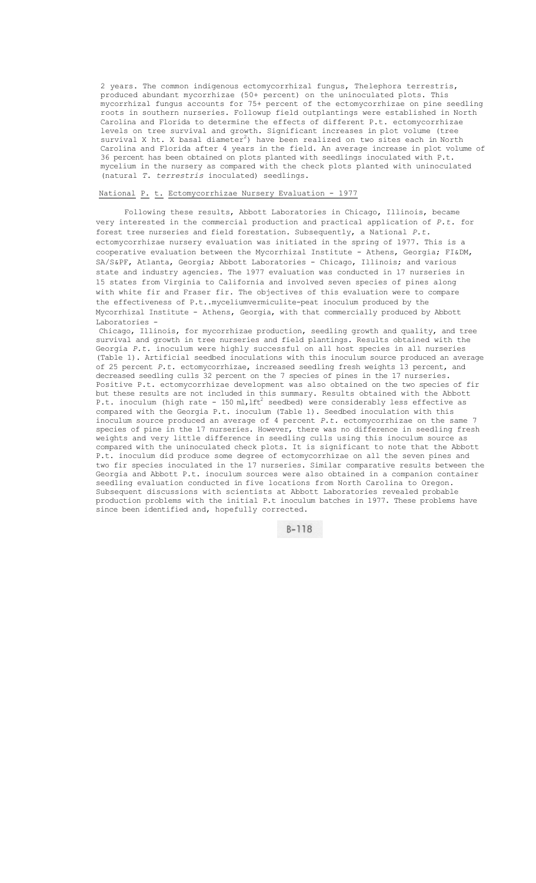2 years. The common indigenous ectomycorrhizal fungus, Thelephora terrestris, produced abundant mycorrhizae (50+ percent) on the uninoculated plots. This mycorrhizal fungus accounts for 75+ percent of the ectomycorrhizae on pine seedling roots in southern nurseries. Followup field outplantings were established in North Carolina and Florida to determine the effects of different P.t. ectomycorrhizae levels on tree survival and growth. Significant increases in plot volume (tree survival X ht. X basal diameter $^2$ ) have been realized on two sites each in North Carolina and Florida after 4 years in the field. An average increase in plot volume of 36 percent has been obtained on plots planted with seedlings inoculated with P.t. mycelium in the nursery as compared with the check plots planted with uninoculated (natural *T. terrestris* inoculated) seedlings.

# National P. t. Ectomycorrhizae Nursery Evaluation - 1977

Following these results, Abbott Laboratories in Chicago, Illinois, became very interested in the commercial production and practical application of *P.t.* for forest tree nurseries and field forestation. Subsequently, a National *P.t.*  ectomycorrhizae nursery evaluation was initiated in the spring of 1977. This is a cooperative evaluation between the Mycorrhizal Institute - Athens, Georgia; FI&DM, SA/S&PF, Atlanta, Georgia; Abbott Laboratories - Chicago, Illinois; and various state and industry agencies. The 1977 evaluation was conducted in 17 nurseries in 15 states from Virginia to California and involved seven species of pines along with white fir and Fraser fir. The objectives of this evaluation were to compare the effectiveness of P.t..myceliumvermiculite-peat inoculum produced by the Mycorrhizal Institute - Athens, Georgia, with that commercially produced by Abbott Laboratories -

Chicago, Illinois, for mycorrhizae production, seedling growth and quality, and tree survival and growth in tree nurseries and field plantings. Results obtained with the Georgia *P.t.* inoculum were highly successful on all host species in all nurseries (Table 1). Artificial seedbed inoculations with this inoculum source produced an average of 25 percent *P.t.* ectomycorrhizae, increased seedling fresh weights 13 percent, and decreased seedling culls 32 percent on the 7 species of pines in the 17 nurseries. Positive P.t. ectomycorrhizae development was also obtained on the two species of fir but these results are not included in this summary. Results obtained with the Abbott P.t. inoculum (high rate - 150 ml, lft<sup>2</sup> seedbed) were considerably less effective as compared with the Georgia P.t. inoculum (Table 1). Seedbed inoculation with this inoculum source produced an average of 4 percent *P.t.* ectomycorrhizae on the same 7 species of pine in the 17 nurseries. However, there was no difference in seedling fresh weights and very little difference in seedling culls using this inoculum source as compared with the uninoculated check plots. It is significant to note that the Abbott P.t. inoculum did produce some degree of ectomycorrhizae on all the seven pines and two fir species inoculated in the 17 nurseries. Similar comparative results between the Georgia and Abbott P.t. inoculum sources were also obtained in a companion container seedling evaluation conducted in five locations from North Carolina to Oregon. Subsequent discussions with scientists at Abbott Laboratories revealed probable production problems with the initial P.t inoculum batches in 1977. These problems have since been identified and, hopefully corrected.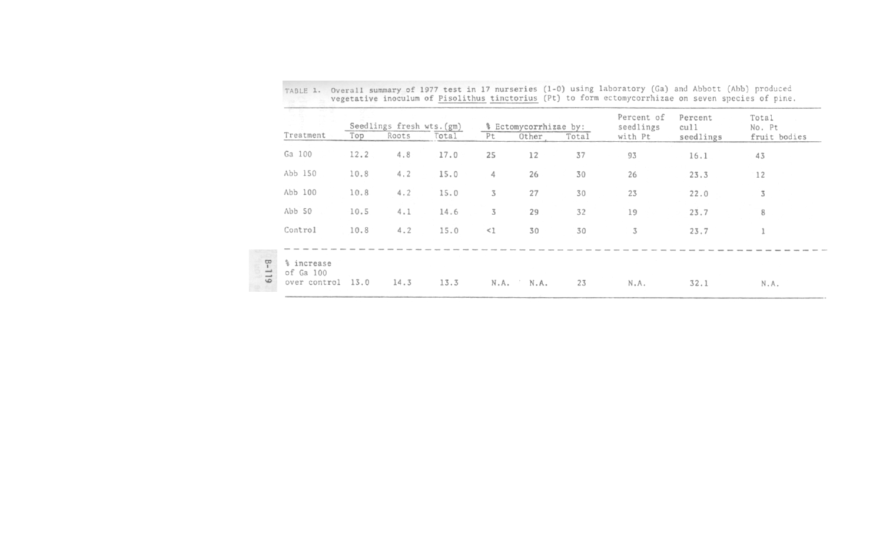| Top<br>12.2<br>10.8<br>10.8 | Roots<br>4.8<br>4.2<br>4.2 | Total<br>17.0<br>15.0<br>15.0 | Pt<br>25<br>4<br>$\overline{3}$ | Other<br>12<br>26 | Total<br>37<br>30 | with Pt<br>93<br>26 | seedlings<br>16.1<br>23.3 | fruit bodies<br>43<br>12 |
|-----------------------------|----------------------------|-------------------------------|---------------------------------|-------------------|-------------------|---------------------|---------------------------|--------------------------|
|                             |                            |                               |                                 |                   |                   |                     |                           |                          |
|                             |                            |                               |                                 |                   |                   |                     |                           |                          |
|                             |                            |                               |                                 |                   |                   |                     |                           |                          |
|                             |                            |                               |                                 | 27                | 30                | 23                  | 22.0                      | 3                        |
| 10.5                        | 4.1                        | 14.6                          | 3                               | 29                | 32                | 19                  | 23.7                      | 8                        |
| 10.8                        | 4.2                        | 15.0                          | $\leq$ 1                        | 30                | 30                | 3                   | 23.7                      |                          |
|                             |                            |                               |                                 |                   |                   |                     |                           |                          |
|                             |                            |                               |                                 |                   |                   |                     |                           |                          |
|                             | 13.0                       | 14.3                          | 13.3                            |                   | N.A.<br>N.A.      | 23                  | N.A.                      | 32.1                     |

TABLE 1. Overall summary of 1977 test in 17 nurseries (1-0) using laboratory (Ga) and Abbott (Abb) produced<br>vegetative inoculum of Pisolithus tinctorius (Pt) to form ectomycorrhizae on seven suecies of nine.

- 
-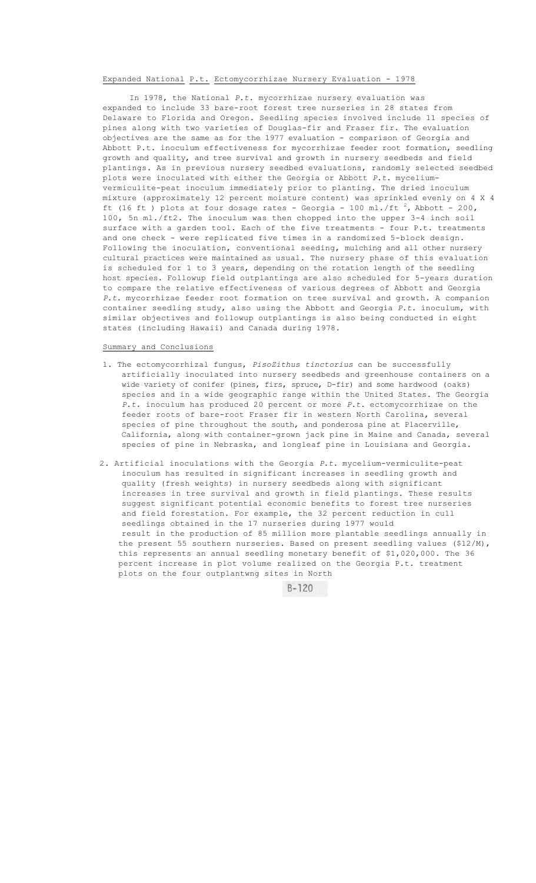### Expanded National P.t. Ectomycorrhizae Nursery Evaluation - 1978

In 1978, the National *P.t.* mycorrhizae nursery evaluation was expanded to include 33 bare-root forest tree nurseries in 28 states from Delaware to Florida and Oregon. Seedling species involved include 11 species of pines along with two varieties of Douglas-fir and Fraser fir. The evaluation objectives are the same as for the 1977 evaluation - comparison of Georgia and Abbott P.t. inoculum effectiveness for mycorrhizae feeder root formation, seedling growth and quality, and tree survival and growth in nursery seedbeds and field plantings. As in previous nursery seedbed evaluations, randomly selected seedbed plots were inoculated with either the Georgia or Abbott *P.t.* myceliumvermiculite-peat inoculum immediately prior to planting. The dried inoculum mixture (approximately 12 percent moisture content) was sprinkled evenly on 4 X 4 ft (16 ft ) plots at four dosage rates - Georgia - 100 ml./ft  $^{2}$ , Abbott - 200, 100, 5n ml./ft2. The inoculum was then chopped into the upper 3-4 inch soil surface with a garden tool. Each of the five treatments - four P.t. treatments and one check - were replicated five times in a randomized 5-block design. Following the inoculation, conventional seeding, mulching and all other nursery cultural practices were maintained as usual. The nursery phase of this evaluation is scheduled for 1 to 3 years, depending on the rotation length of the seedling host species. Followup field outplantings are also scheduled for 5-years duration to compare the relative effectiveness of various degrees of Abbott and Georgia *P.t.* mycorrhizae feeder root formation on tree survival and growth. A companion container seedling study, also using the Abbott and Georgia *P.t.* inoculum, with similar objectives and followup outplantings is also being conducted in eight states (including Hawaii) and Canada during 1978.

#### Summary and Conclusions

- 1. The ectomycorrhizal fungus, *PisoZithus tinctorius* can be successfully artificially inoculated into nursery seedbeds and greenhouse containers on a wide variety of conifer (pines, firs, spruce, D-fir) and some hardwood (oaks) species and in a wide geographic range within the United States. The Georgia *P.t.* inoculum has produced 20 percent or more *P.t.* ectomycorrhizae on the feeder roots of bare-root Fraser fir in western North Carolina, several species of pine throughout the south, and ponderosa pine at Placerville, California, along with container-grown jack pine in Maine and Canada, several species of pine in Nebraska, and longleaf pine in Louisiana and Georgia.
- 2. Artificial inoculations with the Georgia *P.t.* mycelium-vermiculite-peat inoculum has resulted in significant increases in seedling growth and quality (fresh weights) in nursery seedbeds along with significant increases in tree survival and growth in field plantings. These results suggest significant potential economic benefits to forest tree nurseries and field forestation. For example, the 32 percent reduction in cull seedlings obtained in the 17 nurseries during 1977 would result in the production of 85 million more plantable seedlings annually in the present 55 southern nurseries. Based on present seedling values (\$12/M), this represents an annual seedling monetary benefit of \$1,020,000. The 36 percent increase in plot volume realized on the Georgia P.t. treatment plots on the four outplantwng sites in North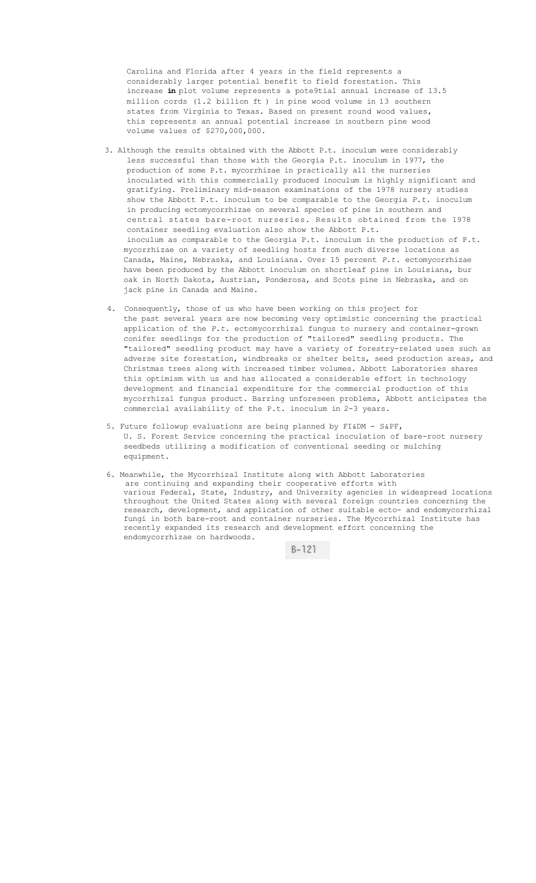Carolina and Florida after 4 years in the field represents a considerably larger potential benefit to field forestation. This increase **in** plot volume represents a pote9tial annual increase of 13.5 million cords (1.2 billion ft ) in pine wood volume in 13 southern states from Virginia to Texas. Based on present round wood values, this represents an annual potential increase in southern pine wood volume values of \$270,000,000.

- 3. Although the results obtained with the Abbott P.t. inoculum were considerably less successful than those with the Georgia P.t. inoculum in 1977, the production of some P.t. mycorrhizae in practically all the nurseries inoculated with this commercially produced inoculum is highly significant and gratifying. Preliminary mid-season examinations of the 1978 nursery studies show the Abbott P.t. inoculum to be comparable to the Georgia *P.t.* inoculum in producing ectomycorrhizae on several species of pine in southern and central states bare-root nurseries. Results obtained from the 1978 container seedling evaluation also show the Abbott P.t. inoculum as comparable to the Georgia P.t. inoculum in the production of P.t. mycorrhizae on a variety of seedling hosts from such diverse locations as Canada, Maine, Nebraska, and Louisiana. Over 15 percent *P.t.* ectomycorrhizae have been produced by the Abbott inoculum on shortleaf pine in Louisiana, bur oak in North Dakota, Austrian, Ponderosa, and Scots pine in Nebraska, and on jack pine in Canada and Maine.
- 4. Consequently, those of us who have been working on this project for the past several years are now becoming very optimistic concerning the practical application of the *P.t.* ectomycorrhizal fungus to nursery and container-grown conifer seedlings for the production of "tailored" seedling products. The "tailored" seedling product may have a variety of forestry-related uses such as adverse site forestation, windbreaks or shelter belts, seed production areas, and Christmas trees along with increased timber volumes. Abbott Laboratories shares this optimism with us and has allocated a considerable effort in technology development and financial expenditure for the commercial production of this mycorrhizal fungus product. Barring unforeseen problems, Abbott anticipates the commercial availability of the P.t. inoculum in 2-3 years.
- 5. Future followup evaluations are being planned by FI&DM S&PF, U. S. Forest Service concerning the practical inoculation of bare-root nursery seedbeds utilizing a modification of conventional seeding or mulching equipment.
- 6. Meanwhile, the Mycorrhizal Institute along with Abbott Laboratories are continuing and expanding their cooperative efforts with various Federal, State, Industry, and University agencies in widespread locations throughout the United States along with several foreign countries concerning the research, development, and application of other suitable ecto- and endomycorrhizal fungi in both bare-root and container nurseries. The Mycorrhizal Institute has recently expanded its research and development effort concerning the endomycorrhizae on hardwoods.